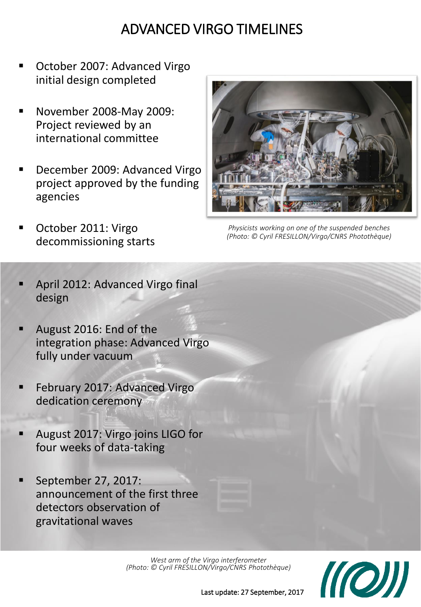## ADVANCED VIRGO TIMELINES

- October 2007: Advanced Virgo initial design completed
- November 2008-May 2009: Project reviewed by an international committee
- December 2009: Advanced Virgo project approved by the funding agencies
- October 2011: Virgo decommissioning starts



*Physicists working on one of the suspended benches (Photo: © Cyril FRESILLON/Virgo/CNRS Photothèque)*

- April 2012: Advanced Virgo final design
- August 2016: End of the integration phase: Advanced Virgo fully under vacuum
- February 2017: Advanced Virgo dedication ceremony
- August 2017: Virgo joins LIGO for four weeks of data-taking
- September 27, 2017: announcement of the first three detectors observation of gravitational waves

*West arm of the Virgo interferometer (Photo: © Cyril FRESILLON/Virgo/CNRS Photothèque)*



Last update: 27 September, 2017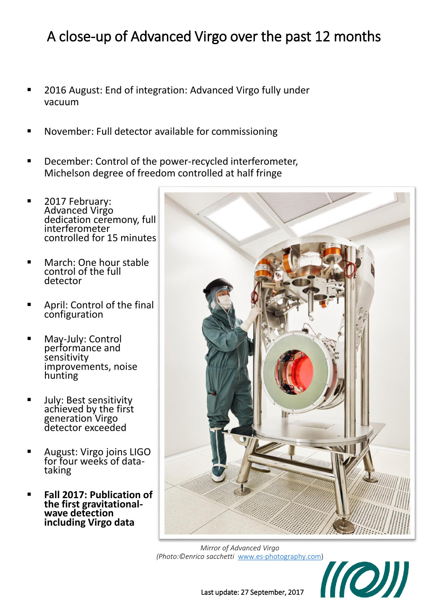## A close-up of Advanced Virgo over the past 12 months

- 2016 August: End of integration: Advanced Virgo fully under vacuum
- November: Full detector available for commissioning
- December: Control of the power-recycled interferometer, Michelson degree of freedom controlled at half fringe
- **2017 February:** Advanced Virgo dedication ceremony, full interferometer controlled for 15 minutes
- March: One hour stable control of the full detector
- April: Control of the final configuration
- **May-July: Control** performance and sensitivity improvements, noise hunting
- **July: Best sensitivity** achieved by the first generation Virgo detector exceeded
- **August: Virgo joins LIGO** for four weeks of datataking
- **Fall 2017: Publication of the first gravitationalwave detection including Virgo data**



*Mirror of Advanced Virgo (Photo:©enrico sacchetti* [www.es-photography.com](http://www.es-photography.com/))



Last update: 27 September, 2017